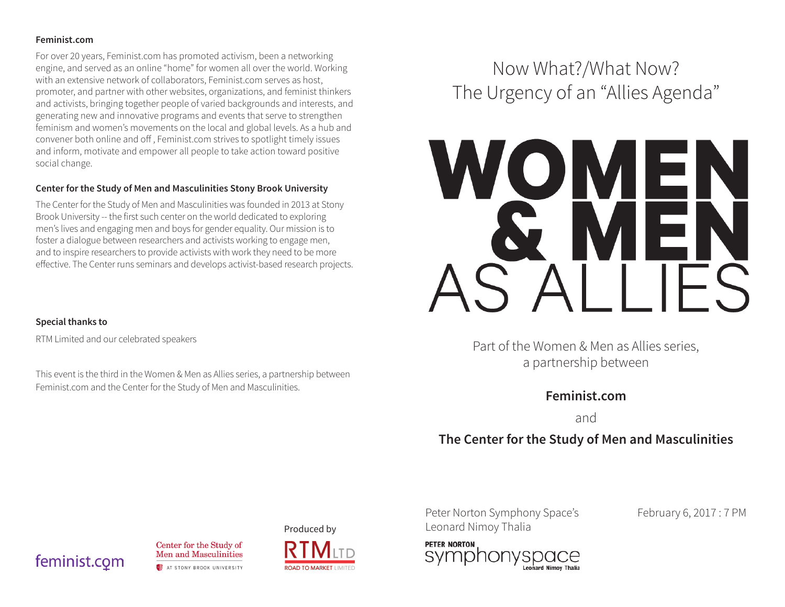#### **Feminist.com**

For over 20 years, Feminist.com has promoted activism, been a networking engine, and served as an online "home" for women all over the world. Working with an extensive network of collaborators, Feminist.com serves as host, promoter, and partner with other websites, organizations, and feminist thinkers and activists, bringing together people of varied backgrounds and interests, and generating new and innovative programs and events that serve to strengthen feminism and women's movements on the local and global levels. As a hub and convener both online and off , Feminist.com strives to spotlight timely issues and inform, motivate and empower all people to take action toward positive social change.

#### **Center for the Study of Men and Masculinities Stony Brook University**

The Center for the Study of Men and Masculinities was founded in 2013 at Stony Brook University -- the first such center on the world dedicated to exploring men's lives and engaging men and boys for gender equality. Our mission is to foster a dialogue between researchers and activists working to engage men, and to inspire researchers to provide activists with work they need to be more effective. The Center runs seminars and develops activist-based research projects.

#### **Special thanks to**

RTM Limited and our celebrated speakers

This event is the third in the Women & Men as Allies series, a partnership between Feminist.com and the Center for the Study of Men and Masculinities.

# Now What?/What Now? The Urgency of an "Allies Agenda"



Part of the Women & Men as Allies series, a partnership between

### **Feminist.com**

and

## **The Center for the Study of Men and Masculinities**

Peter Norton Symphony Space's February 6, 2017 : 7 PM Produced by Leonard Nimoy Thalia



feminist.com



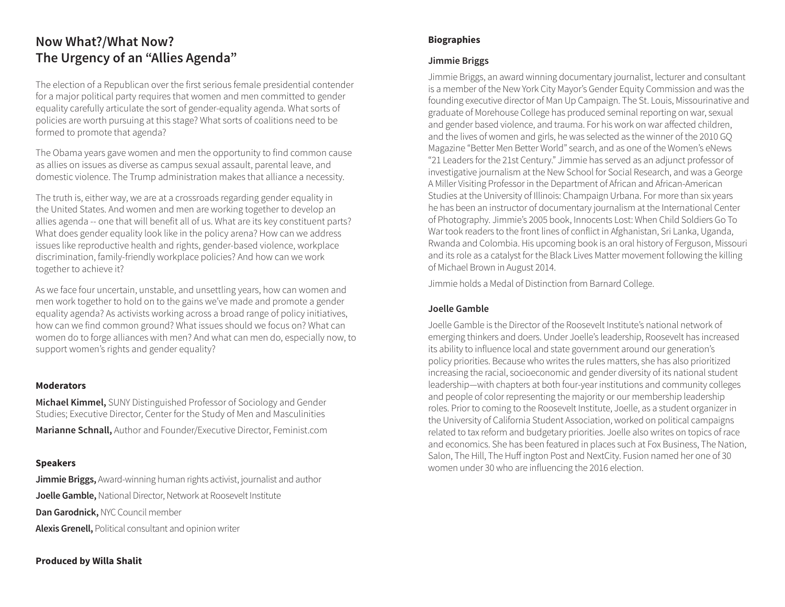## **Now What?/What Now? The Urgency of an "Allies Agenda"**

The election of a Republican over the first serious female presidential contender for a major political party requires that women and men committed to gender equality carefully articulate the sort of gender-equality agenda. What sorts of policies are worth pursuing at this stage? What sorts of coalitions need to be formed to promote that agenda?

The Obama years gave women and men the opportunity to find common cause as allies on issues as diverse as campus sexual assault, parental leave, and domestic violence. The Trump administration makes that alliance a necessity.

The truth is, either way, we are at a crossroads regarding gender equality in the United States. And women and men are working together to develop an allies agenda -- one that will benefit all of us. What are its key constituent parts? What does gender equality look like in the policy arena? How can we address issues like reproductive health and rights, gender-based violence, workplace discrimination, family-friendly workplace policies? And how can we work together to achieve it?

As we face four uncertain, unstable, and unsettling years, how can women and men work together to hold on to the gains we've made and promote a gender equality agenda? As activists working across a broad range of policy initiatives, how can we find common ground? What issues should we focus on? What can women do to forge alliances with men? And what can men do, especially now, to support women's rights and gender equality?

#### **Moderators**

**Michael Kimmel,** SUNY Distinguished Professor of Sociology and Gender Studies; Executive Director, Center for the Study of Men and Masculinities **Marianne Schnall,** Author and Founder/Executive Director, Feminist.com

#### **Speakers**

**Jimmie Briggs,** Award-winning human rights activist, journalist and author **Joelle Gamble,** National Director, Network at Roosevelt Institute **Dan Garodnick,** NYC Council member **Alexis Grenell,** Political consultant and opinion writer

#### **Biographies**

#### **Jimmie Briggs**

Jimmie Briggs, an award winning documentary journalist, lecturer and consultant is a member of the New York City Mayor's Gender Equity Commission and was the founding executive director of Man Up Campaign. The St. Louis, Missourinative and graduate of Morehouse College has produced seminal reporting on war, sexual and gender based violence, and trauma. For his work on war affected children, and the lives of women and girls, he was selected as the winner of the 2010 GQ Magazine "Better Men Better World" search, and as one of the Women's eNews "21 Leaders for the 21st Century." Jimmie has served as an adjunct professor of investigative journalism at the New School for Social Research, and was a George A Miller Visiting Professor in the Department of African and African-American Studies at the University of Illinois: Champaign Urbana. For more than six years he has been an instructor of documentary journalism at the International Center of Photography. Jimmie's 2005 book, Innocents Lost: When Child Soldiers Go To War took readers to the front lines of conflict in Afghanistan, Sri Lanka, Uganda, Rwanda and Colombia. His upcoming book is an oral history of Ferguson, Missouri and its role as a catalyst for the Black Lives Matter movement following the killing of Michael Brown in August 2014.

Jimmie holds a Medal of Distinction from Barnard College.

#### **Joelle Gamble**

Joelle Gamble is the Director of the Roosevelt Institute's national network of emerging thinkers and doers. Under Joelle's leadership, Roosevelt has increased its ability to influence local and state government around our generation's policy priorities. Because who writes the rules matters, she has also prioritized increasing the racial, socioeconomic and gender diversity of its national student leadership—with chapters at both four-year institutions and community colleges and people of color representing the majority or our membership leadership roles. Prior to coming to the Roosevelt Institute, Joelle, as a student organizer in the University of California Student Association, worked on political campaigns related to tax reform and budgetary priorities. Joelle also writes on topics of race and economics. She has been featured in places such at Fox Business, The Nation, Salon, The Hill, The Huff ington Post and NextCity. Fusion named her one of 30 women under 30 who are influencing the 2016 election.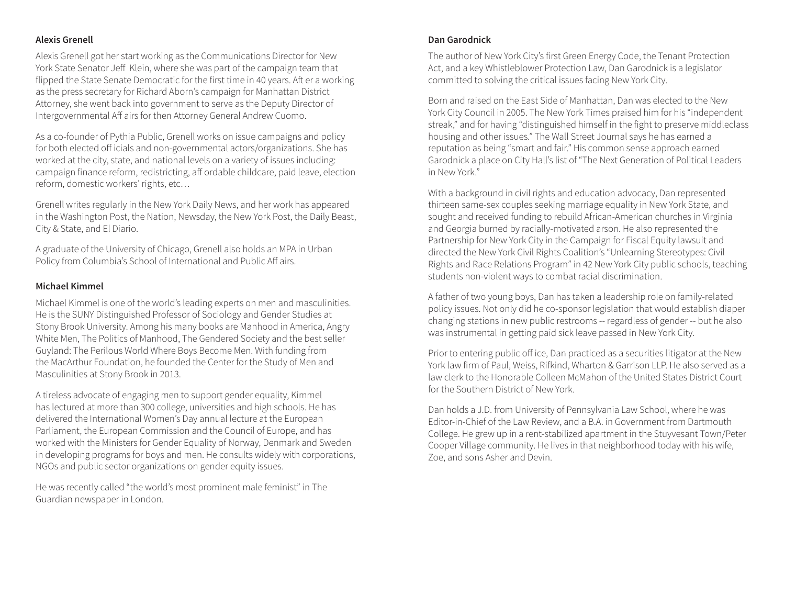#### **Alexis Grenell**

Alexis Grenell got her start working as the Communications Director for New York State Senator Jeff Klein, where she was part of the campaign team that flipped the State Senate Democratic for the first time in 40 years. Aft er a working as the press secretary for Richard Aborn's campaign for Manhattan District Attorney, she went back into government to serve as the Deputy Director of Intergovernmental Aff airs for then Attorney General Andrew Cuomo.

As a co-founder of Pythia Public, Grenell works on issue campaigns and policy for both elected off icials and non-governmental actors/organizations. She has worked at the city, state, and national levels on a variety of issues including: campaign finance reform, redistricting, aff ordable childcare, paid leave, election reform, domestic workers' rights, etc…

Grenell writes regularly in the New York Daily News, and her work has appeared in the Washington Post, the Nation, Newsday, the New York Post, the Daily Beast, City & State, and El Diario.

A graduate of the University of Chicago, Grenell also holds an MPA in Urban Policy from Columbia's School of International and Public Aff airs.

#### **Michael Kimmel**

Michael Kimmel is one of the world's leading experts on men and masculinities. He is the SUNY Distinguished Professor of Sociology and Gender Studies at Stony Brook University. Among his many books are Manhood in America, Angry White Men, The Politics of Manhood, The Gendered Society and the best seller Guyland: The Perilous World Where Boys Become Men. With funding from the MacArthur Foundation, he founded the Center for the Study of Men and Masculinities at Stony Brook in 2013.

A tireless advocate of engaging men to support gender equality, Kimmel has lectured at more than 300 college, universities and high schools. He has delivered the International Women's Day annual lecture at the European Parliament, the European Commission and the Council of Europe, and has worked with the Ministers for Gender Equality of Norway, Denmark and Sweden in developing programs for boys and men. He consults widely with corporations, NGOs and public sector organizations on gender equity issues.

He was recently called "the world's most prominent male feminist" in The Guardian newspaper in London.

#### **Dan Garodnick**

The author of New York City's first Green Energy Code, the Tenant Protection Act, and a key Whistleblower Protection Law, Dan Garodnick is a legislator committed to solving the critical issues facing New York City.

Born and raised on the East Side of Manhattan, Dan was elected to the New York City Council in 2005. The New York Times praised him for his "independent streak," and for having "distinguished himself in the fight to preserve middleclass housing and other issues." The Wall Street Journal says he has earned a reputation as being "smart and fair." His common sense approach earned Garodnick a place on City Hall's list of "The Next Generation of Political Leaders in New York."

With a background in civil rights and education advocacy, Dan represented thirteen same-sex couples seeking marriage equality in New York State, and sought and received funding to rebuild African-American churches in Virginia and Georgia burned by racially-motivated arson. He also represented the Partnership for New York City in the Campaign for Fiscal Equity lawsuit and directed the New York Civil Rights Coalition's "Unlearning Stereotypes: Civil Rights and Race Relations Program" in 42 New York City public schools, teaching students non-violent ways to combat racial discrimination.

A father of two young boys, Dan has taken a leadership role on family-related policy issues. Not only did he co-sponsor legislation that would establish diaper changing stations in new public restrooms -- regardless of gender -- but he also was instrumental in getting paid sick leave passed in New York City.

Prior to entering public off ice, Dan practiced as a securities litigator at the New York law firm of Paul, Weiss, Rifkind, Wharton & Garrison LLP. He also served as a law clerk to the Honorable Colleen McMahon of the United States District Court for the Southern District of New York.

Dan holds a J.D. from University of Pennsylvania Law School, where he was Editor-in-Chief of the Law Review, and a B.A. in Government from Dartmouth College. He grew up in a rent-stabilized apartment in the Stuyvesant Town/Peter Cooper Village community. He lives in that neighborhood today with his wife, Zoe, and sons Asher and Devin.